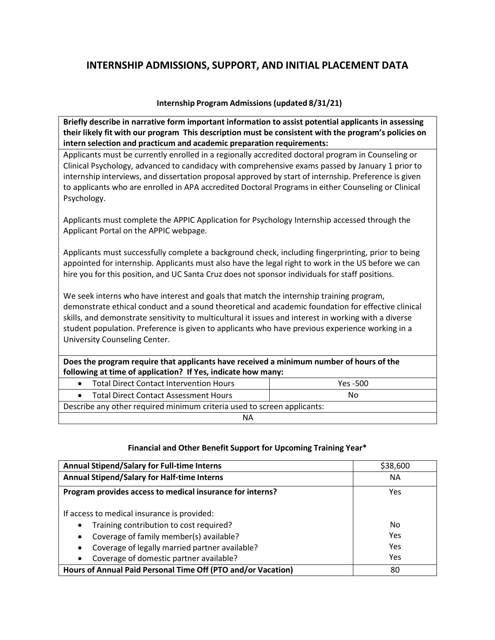# **INTERNSHIP ADMISSIONS, SUPPORT, AND INITIAL PLACEMENT DATA**

## **Internship Program Admissions (updated 8/31/21)**

**Briefly describe in narrative form important information to assist potential applicants in assessing their likely fit with our program This description must be consistent with the program's policies on intern selection and practicum and academic preparation requirements:**

Applicants must be currently enrolled in a regionally accredited doctoral program in Counseling or Clinical Psychology, advanced to candidacy with comprehensive exams passed by January 1 prior to internship interviews, and dissertation proposal approved by start of internship. Preference is given to applicants who are enrolled in APA accredited Doctoral Programs in either Counseling or Clinical Psychology.

Applicants must complete the APPIC Application for Psychology Internship accessed through the Applicant Portal on the APPIC webpage.

Applicants must successfully complete a background check, including fingerprinting, prior to being appointed for internship. Applicants must also have the legal right to work in the US before we can hire you for this position, and UC Santa Cruz does not sponsor individuals for staff positions.

We seek interns who have interest and goals that match the internship training program, demonstrate ethical conduct and a sound theoretical and academic foundation for effective clinical skills, and demonstrate sensitivity to multicultural it issues and interest in working with a diverse student population. Preference is given to applicants who have previous experience working in a University Counseling Center.

**Does the program require that applicants have received a minimum number of hours of the following at time of application? If Yes, indicate how many:**

| <b>Total Direct Contact Intervention Hours</b>                          | Yes -500 |  |  |
|-------------------------------------------------------------------------|----------|--|--|
| <b>Total Direct Contact Assessment Hours</b>                            | No       |  |  |
| Describe any other required minimum criteria used to screen applicants: |          |  |  |
| ΝA                                                                      |          |  |  |

### **Financial and Other Benefit Support for Upcoming Training Year\***

| Annual Stipend/Salary for Full-time Interns                  | \$38,600   |
|--------------------------------------------------------------|------------|
| Annual Stipend/Salary for Half-time Interns                  | <b>NA</b>  |
| Program provides access to medical insurance for interns?    | Yes        |
| If access to medical insurance is provided:                  |            |
| Training contribution to cost required?<br>٠                 | No         |
| Coverage of family member(s) available?<br>٠                 | <b>Yes</b> |
| Coverage of legally married partner available?<br>٠          | <b>Yes</b> |
| Coverage of domestic partner available?<br>٠                 | <b>Yes</b> |
| Hours of Annual Paid Personal Time Off (PTO and/or Vacation) | 80         |